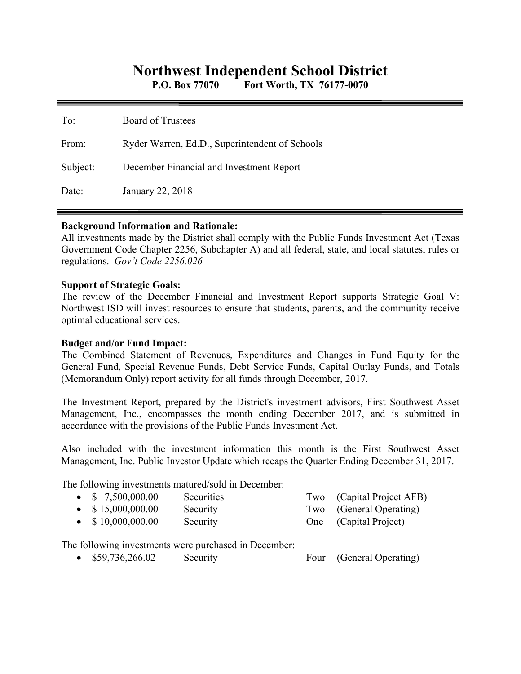# **Northwest Independent School District**

**P.O. Box 77070 Fort Worth, TX 76177-0070** 

| To:      | <b>Board of Trustees</b>                       |
|----------|------------------------------------------------|
| From:    | Ryder Warren, Ed.D., Superintendent of Schools |
| Subject: | December Financial and Investment Report       |
| Date:    | January 22, 2018                               |

#### **Background Information and Rationale:**

All investments made by the District shall comply with the Public Funds Investment Act (Texas Government Code Chapter 2256, Subchapter A) and all federal, state, and local statutes, rules or regulations. *Gov't Code 2256.026* 

#### **Support of Strategic Goals:**

The review of the December Financial and Investment Report supports Strategic Goal V: Northwest ISD will invest resources to ensure that students, parents, and the community receive optimal educational services.

### **Budget and/or Fund Impact:**

The Combined Statement of Revenues, Expenditures and Changes in Fund Equity for the General Fund, Special Revenue Funds, Debt Service Funds, Capital Outlay Funds, and Totals (Memorandum Only) report activity for all funds through December, 2017.

The Investment Report, prepared by the District's investment advisors, First Southwest Asset Management, Inc., encompasses the month ending December 2017, and is submitted in accordance with the provisions of the Public Funds Investment Act.

Also included with the investment information this month is the First Southwest Asset Management, Inc. Public Investor Update which recaps the Quarter Ending December 31, 2017.

The following investments matured/sold in December:

| $\bullet$ \$ 7,500,000.00 | <b>Securities</b> | Two (Capital Project AFB) |
|---------------------------|-------------------|---------------------------|
| $\bullet$ \$15,000,000.00 | Security          | Two (General Operating)   |
| $\bullet$ \$10,000,000.00 | Security          | One (Capital Project)     |

The following investments were purchased in December:

• \$59,736,266.02 Security Four (General Operating)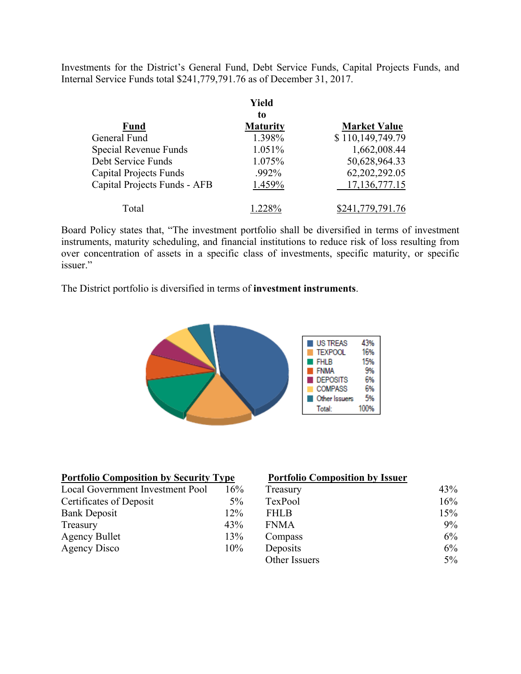Investments for the District's General Fund, Debt Service Funds, Capital Projects Funds, and Internal Service Funds total \$241,779,791.76 as of December 31, 2017.

|                               | Yield           |                     |
|-------------------------------|-----------------|---------------------|
|                               | to              |                     |
| <b>Fund</b>                   | <b>Maturity</b> | <b>Market Value</b> |
| General Fund                  | 1.398%          | \$110,149,749.79    |
| Special Revenue Funds         | 1.051%          | 1,662,008.44        |
| Debt Service Funds            | 1.075%          | 50,628,964.33       |
| <b>Capital Projects Funds</b> | .992%           | 62,202,292.05       |
| Capital Projects Funds - AFB  | 1.459%          | 17, 136, 777. 15    |
| Total                         | $1.228\%$       | \$241,779,791.76    |

Board Policy states that, "The investment portfolio shall be diversified in terms of investment instruments, maturity scheduling, and financial institutions to reduce risk of loss resulting from over concentration of assets in a specific class of investments, specific maturity, or specific issuer."

The District portfolio is diversified in terms of **investment instruments**.



| <b>Portfolio Composition by Security Type</b> |       | <b>Portfolio Composition by Issuer</b> |       |
|-----------------------------------------------|-------|----------------------------------------|-------|
| Local Government Investment Pool              | 16%   | Treasury                               | 43%   |
| Certificates of Deposit                       | $5\%$ | TexPool                                | 16%   |
| <b>Bank Deposit</b>                           | 12%   | <b>FHLB</b>                            | 15%   |
| Treasury                                      | 43%   | <b>FNMA</b>                            | $9\%$ |
| <b>Agency Bullet</b>                          | 13%   | Compass                                | 6%    |
| Agency Disco                                  | 10%   | Deposits                               | $6\%$ |
|                                               |       | Other Issuers                          | $5\%$ |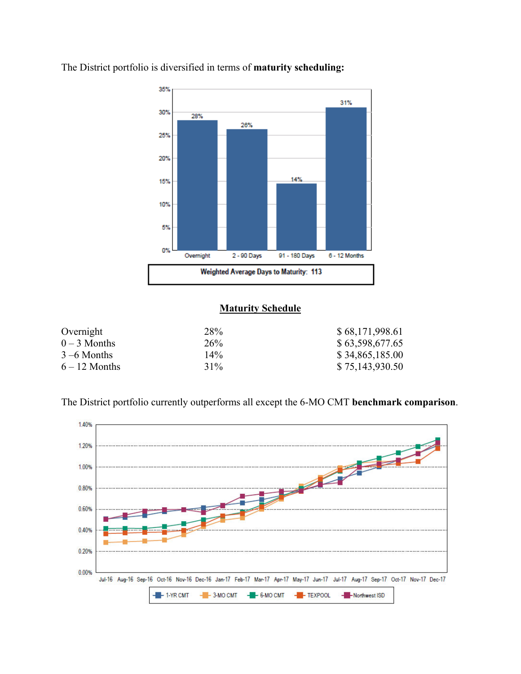

The District portfolio is diversified in terms of **maturity scheduling:** 

## **Maturity Schedule**

| Overnight       | 28%             | \$68,171,998.61 |
|-----------------|-----------------|-----------------|
| $0-3$ Months    | 26 <sup>%</sup> | \$63,598,677.65 |
| $3 - 6$ Months  | $14\%$          | \$34,865,185.00 |
| $6 - 12$ Months | 31%             | \$75,143,930.50 |

The District portfolio currently outperforms all except the 6-MO CMT **benchmark comparison**.

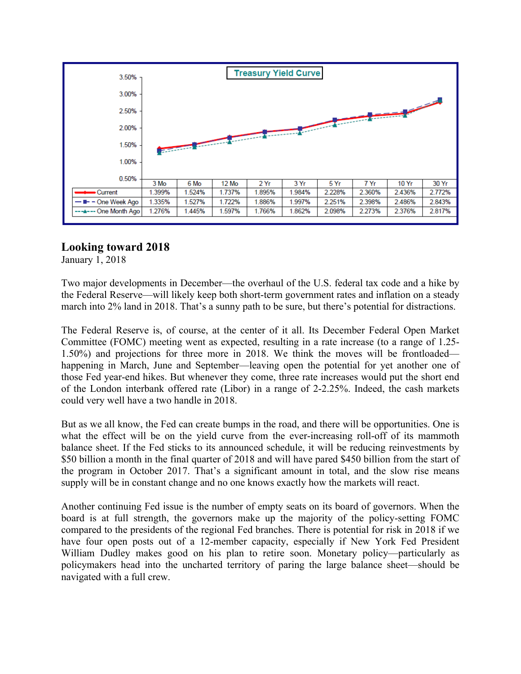

# **Looking toward 2018**

January 1, 2018

Two major developments in December—the overhaul of the U.S. federal tax code and a hike by the Federal Reserve—will likely keep both short-term government rates and inflation on a steady march into 2% land in 2018. That's a sunny path to be sure, but there's potential for distractions.

The Federal Reserve is, of course, at the center of it all. Its December Federal Open Market Committee (FOMC) meeting went as expected, resulting in a rate increase (to a range of 1.25- 1.50%) and projections for three more in 2018. We think the moves will be frontloaded happening in March, June and September—leaving open the potential for yet another one of those Fed year-end hikes. But whenever they come, three rate increases would put the short end of the London interbank offered rate (Libor) in a range of 2-2.25%. Indeed, the cash markets could very well have a two handle in 2018.

But as we all know, the Fed can create bumps in the road, and there will be opportunities. One is what the effect will be on the yield curve from the ever-increasing roll-off of its mammoth balance sheet. If the Fed sticks to its announced schedule, it will be reducing reinvestments by \$50 billion a month in the final quarter of 2018 and will have pared \$450 billion from the start of the program in October 2017. That's a significant amount in total, and the slow rise means supply will be in constant change and no one knows exactly how the markets will react.

Another continuing Fed issue is the number of empty seats on its board of governors. When the board is at full strength, the governors make up the majority of the policy-setting FOMC compared to the presidents of the regional Fed branches. There is potential for risk in 2018 if we have four open posts out of a 12-member capacity, especially if New York Fed President William Dudley makes good on his plan to retire soon. Monetary policy—particularly as policymakers head into the uncharted territory of paring the large balance sheet—should be navigated with a full crew.